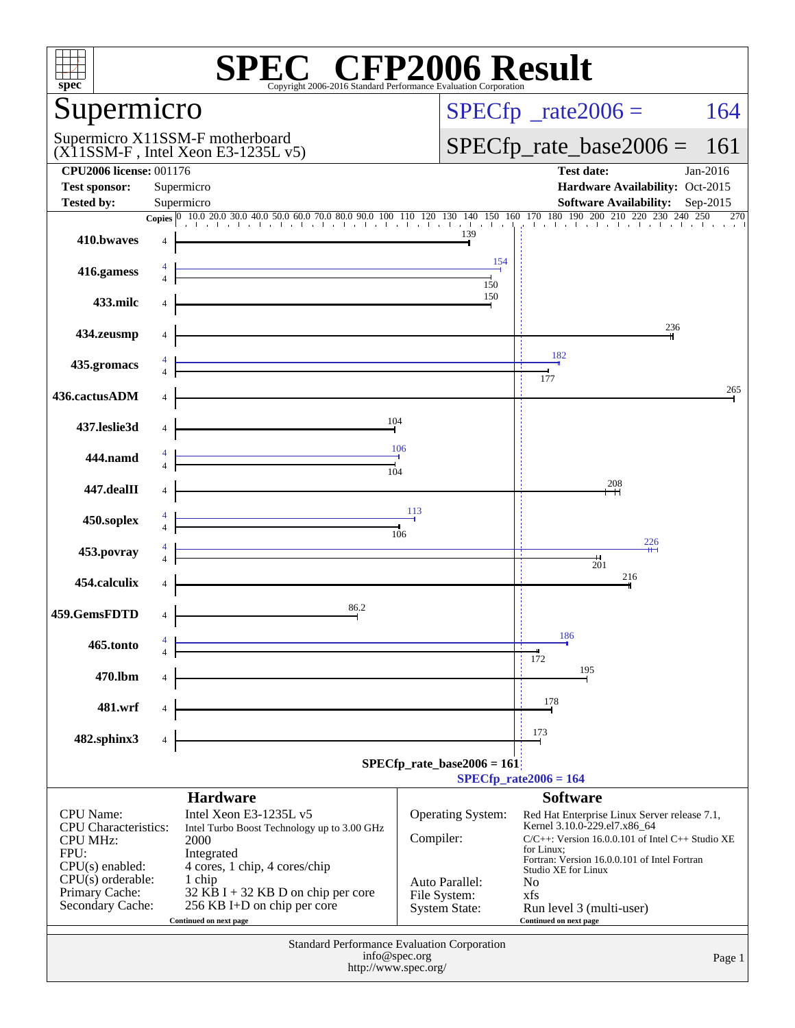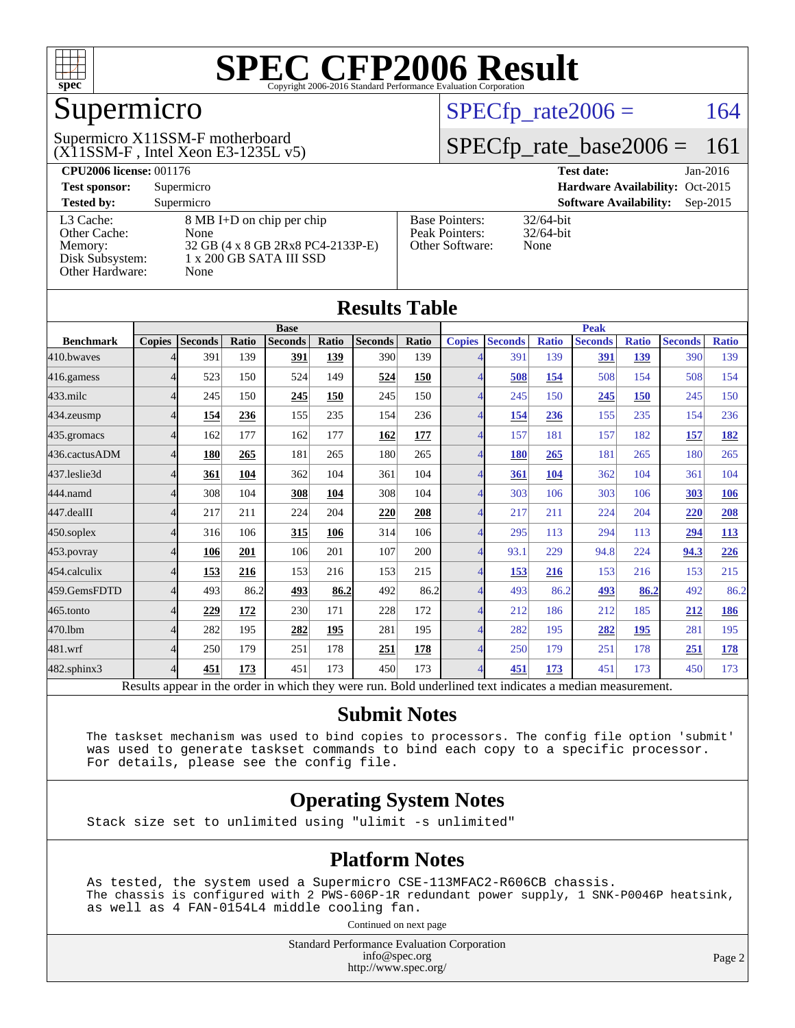

## Supermicro

#### $(X11SSM-F$ , Intel Xeon E3-1235L v5) Supermicro X11SSM-F motherboard

 $SPECTp_rate2006 = 164$ 

### [SPECfp\\_rate\\_base2006 =](http://www.spec.org/auto/cpu2006/Docs/result-fields.html#SPECfpratebase2006) 161

| <b>CPU2006 license: 001176</b> |                                   |                       | <b>Test date:</b><br>$Jan-2016$             |
|--------------------------------|-----------------------------------|-----------------------|---------------------------------------------|
| <b>Test sponsor:</b>           | Supermicro                        |                       | Hardware Availability: Oct-2015             |
| <b>Tested by:</b>              | Supermicro                        |                       | <b>Software Availability:</b><br>$Sep-2015$ |
| L3 Cache:                      | 8 MB I+D on chip per chip         | <b>Base Pointers:</b> | $32/64$ -bit                                |
| Other Cache:                   | None                              | Peak Pointers:        | $32/64$ -bit                                |
| Memory:                        | 32 GB (4 x 8 GB 2Rx8 PC4-2133P-E) | Other Software:       | None                                        |
| Disk Subsystem:                | $1 \times 200$ GB SATA III SSD    |                       |                                             |
| <b>Other Hardware:</b>         | None                              |                       |                                             |

**[Results Table](http://www.spec.org/auto/cpu2006/Docs/result-fields.html#ResultsTable)**

| Results Tadie    |                                                                                                          |                |       |                |       |                |       |               |                |              |                |              |                |              |
|------------------|----------------------------------------------------------------------------------------------------------|----------------|-------|----------------|-------|----------------|-------|---------------|----------------|--------------|----------------|--------------|----------------|--------------|
|                  | <b>Base</b>                                                                                              |                |       |                |       | <b>Peak</b>    |       |               |                |              |                |              |                |              |
| <b>Benchmark</b> | <b>Copies</b>                                                                                            | <b>Seconds</b> | Ratio | <b>Seconds</b> | Ratio | <b>Seconds</b> | Ratio | <b>Copies</b> | <b>Seconds</b> | <b>Ratio</b> | <b>Seconds</b> | <b>Ratio</b> | <b>Seconds</b> | <b>Ratio</b> |
| 410.bwayes       |                                                                                                          | 391            | 139   | 391            | 139   | 390            | 139   |               | 391            | 139          | 391            | 139          | 390            | 139          |
| 416.gamess       |                                                                                                          | 523            | 150   | 524            | 149   | 524            | 150   |               | 508            | 154          | 508            | 154          | 508            | 154          |
| 433.milc         |                                                                                                          | 245            | 150   | 245            | 150   | 245            | 150   |               | 245            | 150          | 245            | 150          | 245            | 150          |
| 434.zeusmp       |                                                                                                          | 154            | 236   | 155            | 235   | 154            | 236   |               | <u>154</u>     | 236          | 155            | 235          | 154            | 236          |
| 435.gromacs      | Δ                                                                                                        | 162            | 177   | 162            | 177   | 162            | 177   | 4             | 157            | 181          | 157            | 182          | 157            | <u>182</u>   |
| 436.cactusADM    | 4                                                                                                        | 180            | 265   | 181            | 265   | 180            | 265   | 4             | 180            | 265          | 181            | 265          | 180            | 265          |
| 437.leslie3d     | Δ                                                                                                        | 361            | 104   | 362            | 104   | 361            | 104   |               | 361            | 104          | 362            | 104          | 361            | 104          |
| 444.namd         |                                                                                                          | 308            | 104   | 308            | 104   | 308            | 104   |               | 303            | 106          | 303            | 106          | 303            | 106          |
| 447.dealII       |                                                                                                          | 217            | 211   | 224            | 204   | 220            | 208   |               | 217            | 211          | 224            | 204          | 220            | 208          |
| 450.soplex       | $\Lambda$                                                                                                | 316            | 106   | 315            | 106   | 314            | 106   |               | 295            | 113          | 294            | 113          | 294            | <b>113</b>   |
| 453.povray       | 4                                                                                                        | 106            | 201   | 106            | 201   | 107            | 200   | 4             | 93.1           | 229          | 94.8           | 224          | 94.3           | 226          |
| 454.calculix     | 4                                                                                                        | 153            | 216   | 153            | 216   | 153            | 215   | 4             | <u>153</u>     | 216          | 153            | 216          | 153            | 215          |
| 459.GemsFDTD     |                                                                                                          | 493            | 86.2  | 493            | 86.2  | 492            | 86.2  |               | 493            | 86.2         | 493            | 86.2         | 492            | 86.2         |
| 465.tonto        |                                                                                                          | 229            | 172   | 230            | 171   | 228            | 172   |               | 212            | 186          | 212            | 185          | 212            | 186          |
| 470.1bm          | 4                                                                                                        | 282            | 195   | 282            | 195   | 281            | 195   | 4             | 282            | 195          | 282            | 195          | 281            | 195          |
| 481.wrf          | 4                                                                                                        | 250            | 179   | 251            | 178   | 251            | 178   | 4             | 250            | 179          | 251            | 178          | 251            | <u>178</u>   |
| 482.sphinx3      | 4                                                                                                        | 451            | 173   | 451            | 173   | 450            | 173   | 4             | 451            | 173          | 451            | 173          | 450            | 173          |
|                  | Results appear in the order in which they were run. Bold underlined text indicates a median measurement. |                |       |                |       |                |       |               |                |              |                |              |                |              |

#### **[Submit Notes](http://www.spec.org/auto/cpu2006/Docs/result-fields.html#SubmitNotes)**

 The taskset mechanism was used to bind copies to processors. The config file option 'submit' was used to generate taskset commands to bind each copy to a specific processor. For details, please see the config file.

#### **[Operating System Notes](http://www.spec.org/auto/cpu2006/Docs/result-fields.html#OperatingSystemNotes)**

Stack size set to unlimited using "ulimit -s unlimited"

#### **[Platform Notes](http://www.spec.org/auto/cpu2006/Docs/result-fields.html#PlatformNotes)**

 As tested, the system used a Supermicro CSE-113MFAC2-R606CB chassis. The chassis is configured with 2 PWS-606P-1R redundant power supply, 1 SNK-P0046P heatsink, as well as 4 FAN-0154L4 middle cooling fan.

Continued on next page

Standard Performance Evaluation Corporation [info@spec.org](mailto:info@spec.org) <http://www.spec.org/>

Page 2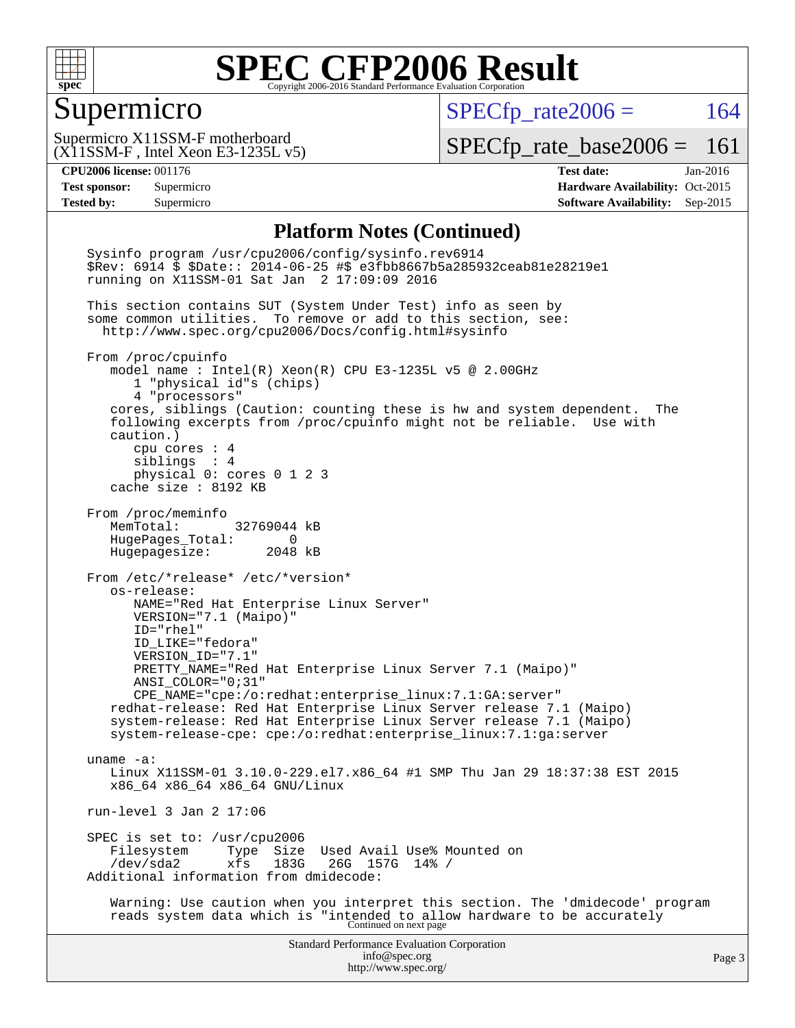

#### Supermicro

 $SPECfp_rate2006 = 164$  $SPECfp_rate2006 = 164$ 

(X11SSM-F , Intel Xeon E3-1235L v5) Supermicro X11SSM-F motherboard

[SPECfp\\_rate\\_base2006 =](http://www.spec.org/auto/cpu2006/Docs/result-fields.html#SPECfpratebase2006) 161

**[CPU2006 license:](http://www.spec.org/auto/cpu2006/Docs/result-fields.html#CPU2006license)** 001176 **[Test date:](http://www.spec.org/auto/cpu2006/Docs/result-fields.html#Testdate)** Jan-2016 **[Test sponsor:](http://www.spec.org/auto/cpu2006/Docs/result-fields.html#Testsponsor)** Supermicro Supermicro **[Hardware Availability:](http://www.spec.org/auto/cpu2006/Docs/result-fields.html#HardwareAvailability)** Oct-2015 **[Tested by:](http://www.spec.org/auto/cpu2006/Docs/result-fields.html#Testedby)** Supermicro **Supermicro [Software Availability:](http://www.spec.org/auto/cpu2006/Docs/result-fields.html#SoftwareAvailability)** Sep-2015

#### **[Platform Notes \(Continued\)](http://www.spec.org/auto/cpu2006/Docs/result-fields.html#PlatformNotes)**

Standard Performance Evaluation Corporation [info@spec.org](mailto:info@spec.org) <http://www.spec.org/> Page 3 Sysinfo program /usr/cpu2006/config/sysinfo.rev6914 \$Rev: 6914 \$ \$Date:: 2014-06-25 #\$ e3fbb8667b5a285932ceab81e28219e1 running on X11SSM-01 Sat Jan 2 17:09:09 2016 This section contains SUT (System Under Test) info as seen by some common utilities. To remove or add to this section, see: <http://www.spec.org/cpu2006/Docs/config.html#sysinfo> From /proc/cpuinfo model name : Intel(R) Xeon(R) CPU E3-1235L v5 @ 2.00GHz 1 "physical id"s (chips) 4 "processors" cores, siblings (Caution: counting these is hw and system dependent. The following excerpts from /proc/cpuinfo might not be reliable. Use with caution.) cpu cores : 4 siblings : 4 physical 0: cores 0 1 2 3 cache size : 8192 KB From /proc/meminfo MemTotal: 32769044 kB HugePages\_Total: 0 Hugepagesize: 2048 kB From /etc/\*release\* /etc/\*version\* os-release: NAME="Red Hat Enterprise Linux Server" VERSION="7.1 (Maipo)" ID="rhel" ID\_LIKE="fedora" VERSION\_ID="7.1" PRETTY\_NAME="Red Hat Enterprise Linux Server 7.1 (Maipo)" ANSI\_COLOR="0;31" CPE\_NAME="cpe:/o:redhat:enterprise\_linux:7.1:GA:server" redhat-release: Red Hat Enterprise Linux Server release 7.1 (Maipo) system-release: Red Hat Enterprise Linux Server release 7.1 (Maipo) system-release-cpe: cpe:/o:redhat:enterprise\_linux:7.1:ga:server uname -a: Linux X11SSM-01 3.10.0-229.el7.x86\_64 #1 SMP Thu Jan 29 18:37:38 EST 2015 x86\_64 x86\_64 x86\_64 GNU/Linux run-level 3 Jan 2 17:06 SPEC is set to: /usr/cpu2006<br>Filesystem Type Size Filesystem Type Size Used Avail Use% Mounted on<br>/dev/sda2 xfs 183G 26G 157G 14% / /dev/sda2 xfs 183G 26G 157G 14% / Additional information from dmidecode: Warning: Use caution when you interpret this section. The 'dmidecode' program reads system data which is "intended to allow hardware to be accurately Continued on next page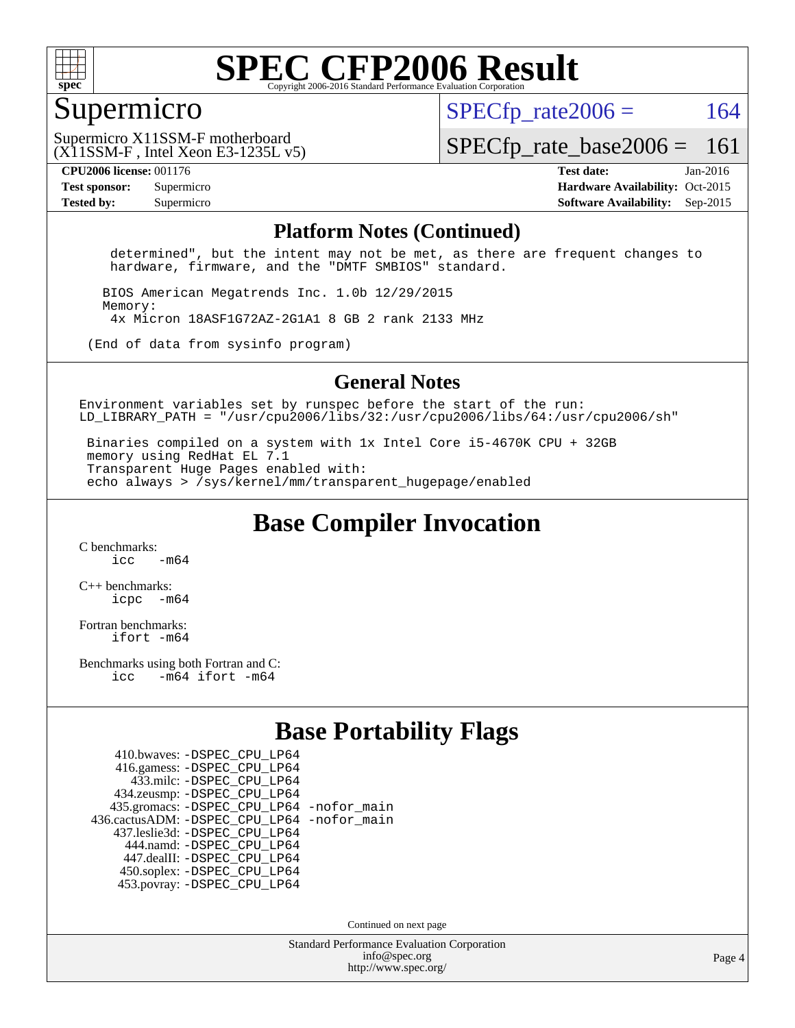

#### Supermicro

 $SPECTp\_rate2006 = 164$ 

(X11SSM-F , Intel Xeon E3-1235L v5) Supermicro X11SSM-F motherboard

[SPECfp\\_rate\\_base2006 =](http://www.spec.org/auto/cpu2006/Docs/result-fields.html#SPECfpratebase2006) 161

**[CPU2006 license:](http://www.spec.org/auto/cpu2006/Docs/result-fields.html#CPU2006license)** 001176 **[Test date:](http://www.spec.org/auto/cpu2006/Docs/result-fields.html#Testdate)** Jan-2016 **[Test sponsor:](http://www.spec.org/auto/cpu2006/Docs/result-fields.html#Testsponsor)** Supermicro Supermicro **[Hardware Availability:](http://www.spec.org/auto/cpu2006/Docs/result-fields.html#HardwareAvailability)** Oct-2015 **[Tested by:](http://www.spec.org/auto/cpu2006/Docs/result-fields.html#Testedby)** Supermicro **Supermicro [Software Availability:](http://www.spec.org/auto/cpu2006/Docs/result-fields.html#SoftwareAvailability)** Sep-2015

#### **[Platform Notes \(Continued\)](http://www.spec.org/auto/cpu2006/Docs/result-fields.html#PlatformNotes)**

 determined", but the intent may not be met, as there are frequent changes to hardware, firmware, and the "DMTF SMBIOS" standard.

 BIOS American Megatrends Inc. 1.0b 12/29/2015 Memory: 4x Micron 18ASF1G72AZ-2G1A1 8 GB 2 rank 2133 MHz

(End of data from sysinfo program)

#### **[General Notes](http://www.spec.org/auto/cpu2006/Docs/result-fields.html#GeneralNotes)**

Environment variables set by runspec before the start of the run: LD LIBRARY PATH = "/usr/cpu2006/libs/32:/usr/cpu2006/libs/64:/usr/cpu2006/sh"

 Binaries compiled on a system with 1x Intel Core i5-4670K CPU + 32GB memory using RedHat EL 7.1 Transparent Huge Pages enabled with: echo always > /sys/kernel/mm/transparent\_hugepage/enabled

**[Base Compiler Invocation](http://www.spec.org/auto/cpu2006/Docs/result-fields.html#BaseCompilerInvocation)**

[C benchmarks](http://www.spec.org/auto/cpu2006/Docs/result-fields.html#Cbenchmarks):  $\frac{1}{2}$   $\mathrm{c}$   $\mathrm{c}$   $\frac{1}{2}$   $\mathrm{m}$   $\mathrm{6}$   $\mathrm{4}$ 

[C++ benchmarks:](http://www.spec.org/auto/cpu2006/Docs/result-fields.html#CXXbenchmarks) [icpc -m64](http://www.spec.org/cpu2006/results/res2016q1/cpu2006-20160106-38557.flags.html#user_CXXbase_intel_icpc_64bit_bedb90c1146cab66620883ef4f41a67e)

[Fortran benchmarks](http://www.spec.org/auto/cpu2006/Docs/result-fields.html#Fortranbenchmarks): [ifort -m64](http://www.spec.org/cpu2006/results/res2016q1/cpu2006-20160106-38557.flags.html#user_FCbase_intel_ifort_64bit_ee9d0fb25645d0210d97eb0527dcc06e)

[Benchmarks using both Fortran and C](http://www.spec.org/auto/cpu2006/Docs/result-fields.html#BenchmarksusingbothFortranandC): [icc -m64](http://www.spec.org/cpu2006/results/res2016q1/cpu2006-20160106-38557.flags.html#user_CC_FCbase_intel_icc_64bit_0b7121f5ab7cfabee23d88897260401c) [ifort -m64](http://www.spec.org/cpu2006/results/res2016q1/cpu2006-20160106-38557.flags.html#user_CC_FCbase_intel_ifort_64bit_ee9d0fb25645d0210d97eb0527dcc06e)

#### **[Base Portability Flags](http://www.spec.org/auto/cpu2006/Docs/result-fields.html#BasePortabilityFlags)**

| 410.bwaves: - DSPEC CPU LP64                 |  |
|----------------------------------------------|--|
| 416.gamess: -DSPEC_CPU_LP64                  |  |
| 433.milc: - DSPEC_CPU LP64                   |  |
| 434.zeusmp: -DSPEC_CPU_LP64                  |  |
| 435.gromacs: -DSPEC_CPU_LP64 -nofor_main     |  |
| 436.cactusADM: - DSPEC CPU LP64 - nofor main |  |
| 437.leslie3d: -DSPEC CPU LP64                |  |
| 444.namd: - DSPEC_CPU_LP64                   |  |
| 447.dealII: -DSPEC CPU LP64                  |  |
| 450.soplex: -DSPEC_CPU_LP64                  |  |
| 453.povray: -DSPEC CPU LP64                  |  |

Continued on next page

Standard Performance Evaluation Corporation [info@spec.org](mailto:info@spec.org) <http://www.spec.org/>

Page 4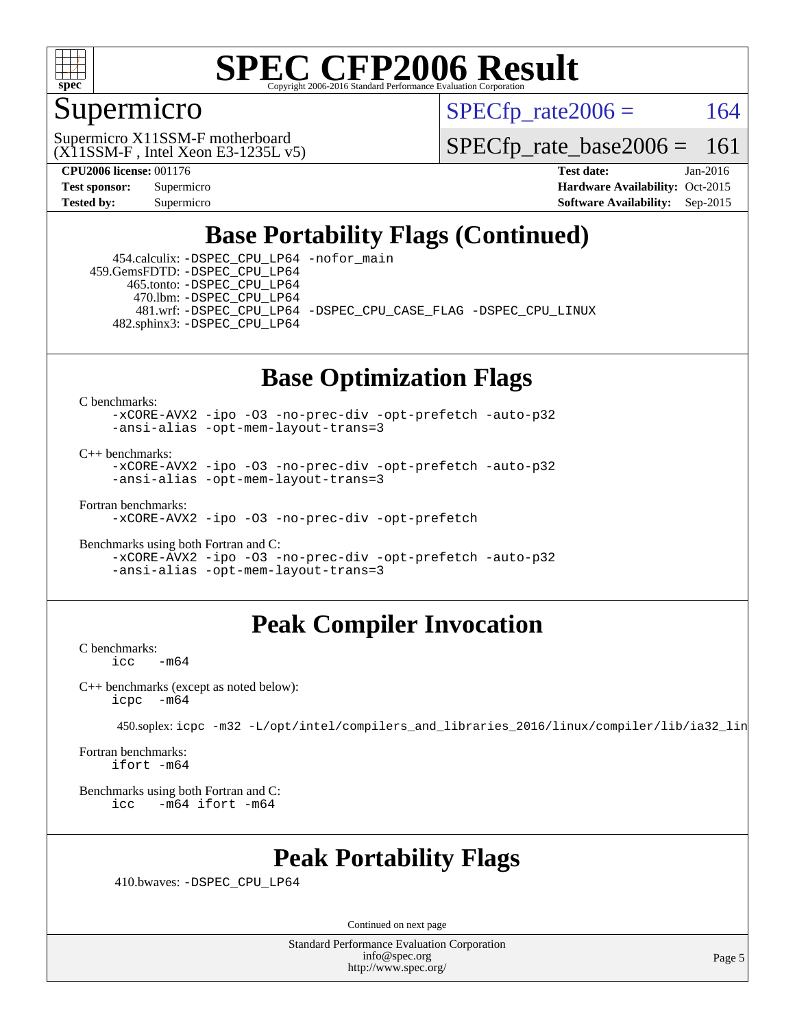

#### Supermicro

 $SPECTp\_rate2006 = 164$ 

(X11SSM-F , Intel Xeon E3-1235L v5) Supermicro X11SSM-F motherboard

[SPECfp\\_rate\\_base2006 =](http://www.spec.org/auto/cpu2006/Docs/result-fields.html#SPECfpratebase2006) 161

**[CPU2006 license:](http://www.spec.org/auto/cpu2006/Docs/result-fields.html#CPU2006license)** 001176 **[Test date:](http://www.spec.org/auto/cpu2006/Docs/result-fields.html#Testdate)** Jan-2016 **[Test sponsor:](http://www.spec.org/auto/cpu2006/Docs/result-fields.html#Testsponsor)** Supermicro Supermicro **[Hardware Availability:](http://www.spec.org/auto/cpu2006/Docs/result-fields.html#HardwareAvailability)** Oct-2015 **[Tested by:](http://www.spec.org/auto/cpu2006/Docs/result-fields.html#Testedby)** Supermicro **[Software Availability:](http://www.spec.org/auto/cpu2006/Docs/result-fields.html#SoftwareAvailability)** Sep-2015

### **[Base Portability Flags \(Continued\)](http://www.spec.org/auto/cpu2006/Docs/result-fields.html#BasePortabilityFlags)**

 454.calculix: [-DSPEC\\_CPU\\_LP64](http://www.spec.org/cpu2006/results/res2016q1/cpu2006-20160106-38557.flags.html#suite_basePORTABILITY454_calculix_DSPEC_CPU_LP64) [-nofor\\_main](http://www.spec.org/cpu2006/results/res2016q1/cpu2006-20160106-38557.flags.html#user_baseLDPORTABILITY454_calculix_f-nofor_main) 459.GemsFDTD: [-DSPEC\\_CPU\\_LP64](http://www.spec.org/cpu2006/results/res2016q1/cpu2006-20160106-38557.flags.html#suite_basePORTABILITY459_GemsFDTD_DSPEC_CPU_LP64) 465.tonto: [-DSPEC\\_CPU\\_LP64](http://www.spec.org/cpu2006/results/res2016q1/cpu2006-20160106-38557.flags.html#suite_basePORTABILITY465_tonto_DSPEC_CPU_LP64) 470.lbm: [-DSPEC\\_CPU\\_LP64](http://www.spec.org/cpu2006/results/res2016q1/cpu2006-20160106-38557.flags.html#suite_basePORTABILITY470_lbm_DSPEC_CPU_LP64) 481.wrf: [-DSPEC\\_CPU\\_LP64](http://www.spec.org/cpu2006/results/res2016q1/cpu2006-20160106-38557.flags.html#suite_basePORTABILITY481_wrf_DSPEC_CPU_LP64) [-DSPEC\\_CPU\\_CASE\\_FLAG](http://www.spec.org/cpu2006/results/res2016q1/cpu2006-20160106-38557.flags.html#b481.wrf_baseCPORTABILITY_DSPEC_CPU_CASE_FLAG) [-DSPEC\\_CPU\\_LINUX](http://www.spec.org/cpu2006/results/res2016q1/cpu2006-20160106-38557.flags.html#b481.wrf_baseCPORTABILITY_DSPEC_CPU_LINUX) 482.sphinx3: [-DSPEC\\_CPU\\_LP64](http://www.spec.org/cpu2006/results/res2016q1/cpu2006-20160106-38557.flags.html#suite_basePORTABILITY482_sphinx3_DSPEC_CPU_LP64)

### **[Base Optimization Flags](http://www.spec.org/auto/cpu2006/Docs/result-fields.html#BaseOptimizationFlags)**

[C benchmarks](http://www.spec.org/auto/cpu2006/Docs/result-fields.html#Cbenchmarks):

[-xCORE-AVX2](http://www.spec.org/cpu2006/results/res2016q1/cpu2006-20160106-38557.flags.html#user_CCbase_f-xAVX2_5f5fc0cbe2c9f62c816d3e45806c70d7) [-ipo](http://www.spec.org/cpu2006/results/res2016q1/cpu2006-20160106-38557.flags.html#user_CCbase_f-ipo) [-O3](http://www.spec.org/cpu2006/results/res2016q1/cpu2006-20160106-38557.flags.html#user_CCbase_f-O3) [-no-prec-div](http://www.spec.org/cpu2006/results/res2016q1/cpu2006-20160106-38557.flags.html#user_CCbase_f-no-prec-div) [-opt-prefetch](http://www.spec.org/cpu2006/results/res2016q1/cpu2006-20160106-38557.flags.html#user_CCbase_f-opt-prefetch) [-auto-p32](http://www.spec.org/cpu2006/results/res2016q1/cpu2006-20160106-38557.flags.html#user_CCbase_f-auto-p32) [-ansi-alias](http://www.spec.org/cpu2006/results/res2016q1/cpu2006-20160106-38557.flags.html#user_CCbase_f-ansi-alias) [-opt-mem-layout-trans=3](http://www.spec.org/cpu2006/results/res2016q1/cpu2006-20160106-38557.flags.html#user_CCbase_f-opt-mem-layout-trans_a7b82ad4bd7abf52556d4961a2ae94d5)

[C++ benchmarks:](http://www.spec.org/auto/cpu2006/Docs/result-fields.html#CXXbenchmarks)

[-xCORE-AVX2](http://www.spec.org/cpu2006/results/res2016q1/cpu2006-20160106-38557.flags.html#user_CXXbase_f-xAVX2_5f5fc0cbe2c9f62c816d3e45806c70d7) [-ipo](http://www.spec.org/cpu2006/results/res2016q1/cpu2006-20160106-38557.flags.html#user_CXXbase_f-ipo) [-O3](http://www.spec.org/cpu2006/results/res2016q1/cpu2006-20160106-38557.flags.html#user_CXXbase_f-O3) [-no-prec-div](http://www.spec.org/cpu2006/results/res2016q1/cpu2006-20160106-38557.flags.html#user_CXXbase_f-no-prec-div) [-opt-prefetch](http://www.spec.org/cpu2006/results/res2016q1/cpu2006-20160106-38557.flags.html#user_CXXbase_f-opt-prefetch) [-auto-p32](http://www.spec.org/cpu2006/results/res2016q1/cpu2006-20160106-38557.flags.html#user_CXXbase_f-auto-p32) [-ansi-alias](http://www.spec.org/cpu2006/results/res2016q1/cpu2006-20160106-38557.flags.html#user_CXXbase_f-ansi-alias) [-opt-mem-layout-trans=3](http://www.spec.org/cpu2006/results/res2016q1/cpu2006-20160106-38557.flags.html#user_CXXbase_f-opt-mem-layout-trans_a7b82ad4bd7abf52556d4961a2ae94d5)

[Fortran benchmarks](http://www.spec.org/auto/cpu2006/Docs/result-fields.html#Fortranbenchmarks):

[-xCORE-AVX2](http://www.spec.org/cpu2006/results/res2016q1/cpu2006-20160106-38557.flags.html#user_FCbase_f-xAVX2_5f5fc0cbe2c9f62c816d3e45806c70d7) [-ipo](http://www.spec.org/cpu2006/results/res2016q1/cpu2006-20160106-38557.flags.html#user_FCbase_f-ipo) [-O3](http://www.spec.org/cpu2006/results/res2016q1/cpu2006-20160106-38557.flags.html#user_FCbase_f-O3) [-no-prec-div](http://www.spec.org/cpu2006/results/res2016q1/cpu2006-20160106-38557.flags.html#user_FCbase_f-no-prec-div) [-opt-prefetch](http://www.spec.org/cpu2006/results/res2016q1/cpu2006-20160106-38557.flags.html#user_FCbase_f-opt-prefetch)

[Benchmarks using both Fortran and C](http://www.spec.org/auto/cpu2006/Docs/result-fields.html#BenchmarksusingbothFortranandC): [-xCORE-AVX2](http://www.spec.org/cpu2006/results/res2016q1/cpu2006-20160106-38557.flags.html#user_CC_FCbase_f-xAVX2_5f5fc0cbe2c9f62c816d3e45806c70d7) [-ipo](http://www.spec.org/cpu2006/results/res2016q1/cpu2006-20160106-38557.flags.html#user_CC_FCbase_f-ipo) [-O3](http://www.spec.org/cpu2006/results/res2016q1/cpu2006-20160106-38557.flags.html#user_CC_FCbase_f-O3) [-no-prec-div](http://www.spec.org/cpu2006/results/res2016q1/cpu2006-20160106-38557.flags.html#user_CC_FCbase_f-no-prec-div) [-opt-prefetch](http://www.spec.org/cpu2006/results/res2016q1/cpu2006-20160106-38557.flags.html#user_CC_FCbase_f-opt-prefetch) [-auto-p32](http://www.spec.org/cpu2006/results/res2016q1/cpu2006-20160106-38557.flags.html#user_CC_FCbase_f-auto-p32) [-ansi-alias](http://www.spec.org/cpu2006/results/res2016q1/cpu2006-20160106-38557.flags.html#user_CC_FCbase_f-ansi-alias) [-opt-mem-layout-trans=3](http://www.spec.org/cpu2006/results/res2016q1/cpu2006-20160106-38557.flags.html#user_CC_FCbase_f-opt-mem-layout-trans_a7b82ad4bd7abf52556d4961a2ae94d5)

#### **[Peak Compiler Invocation](http://www.spec.org/auto/cpu2006/Docs/result-fields.html#PeakCompilerInvocation)**

[C benchmarks](http://www.spec.org/auto/cpu2006/Docs/result-fields.html#Cbenchmarks):  $-m64$ 

[C++ benchmarks \(except as noted below\):](http://www.spec.org/auto/cpu2006/Docs/result-fields.html#CXXbenchmarksexceptasnotedbelow) [icpc -m64](http://www.spec.org/cpu2006/results/res2016q1/cpu2006-20160106-38557.flags.html#user_CXXpeak_intel_icpc_64bit_bedb90c1146cab66620883ef4f41a67e)

450.soplex: [icpc -m32 -L/opt/intel/compilers\\_and\\_libraries\\_2016/linux/compiler/lib/ia32\\_lin](http://www.spec.org/cpu2006/results/res2016q1/cpu2006-20160106-38557.flags.html#user_peakCXXLD450_soplex_intel_icpc_b4f50a394bdb4597aa5879c16bc3f5c5)

[Fortran benchmarks](http://www.spec.org/auto/cpu2006/Docs/result-fields.html#Fortranbenchmarks): [ifort -m64](http://www.spec.org/cpu2006/results/res2016q1/cpu2006-20160106-38557.flags.html#user_FCpeak_intel_ifort_64bit_ee9d0fb25645d0210d97eb0527dcc06e)

[Benchmarks using both Fortran and C](http://www.spec.org/auto/cpu2006/Docs/result-fields.html#BenchmarksusingbothFortranandC): [icc -m64](http://www.spec.org/cpu2006/results/res2016q1/cpu2006-20160106-38557.flags.html#user_CC_FCpeak_intel_icc_64bit_0b7121f5ab7cfabee23d88897260401c) [ifort -m64](http://www.spec.org/cpu2006/results/res2016q1/cpu2006-20160106-38557.flags.html#user_CC_FCpeak_intel_ifort_64bit_ee9d0fb25645d0210d97eb0527dcc06e)

#### **[Peak Portability Flags](http://www.spec.org/auto/cpu2006/Docs/result-fields.html#PeakPortabilityFlags)**

410.bwaves: [-DSPEC\\_CPU\\_LP64](http://www.spec.org/cpu2006/results/res2016q1/cpu2006-20160106-38557.flags.html#suite_peakPORTABILITY410_bwaves_DSPEC_CPU_LP64)

Continued on next page

Standard Performance Evaluation Corporation [info@spec.org](mailto:info@spec.org) <http://www.spec.org/>

Page 5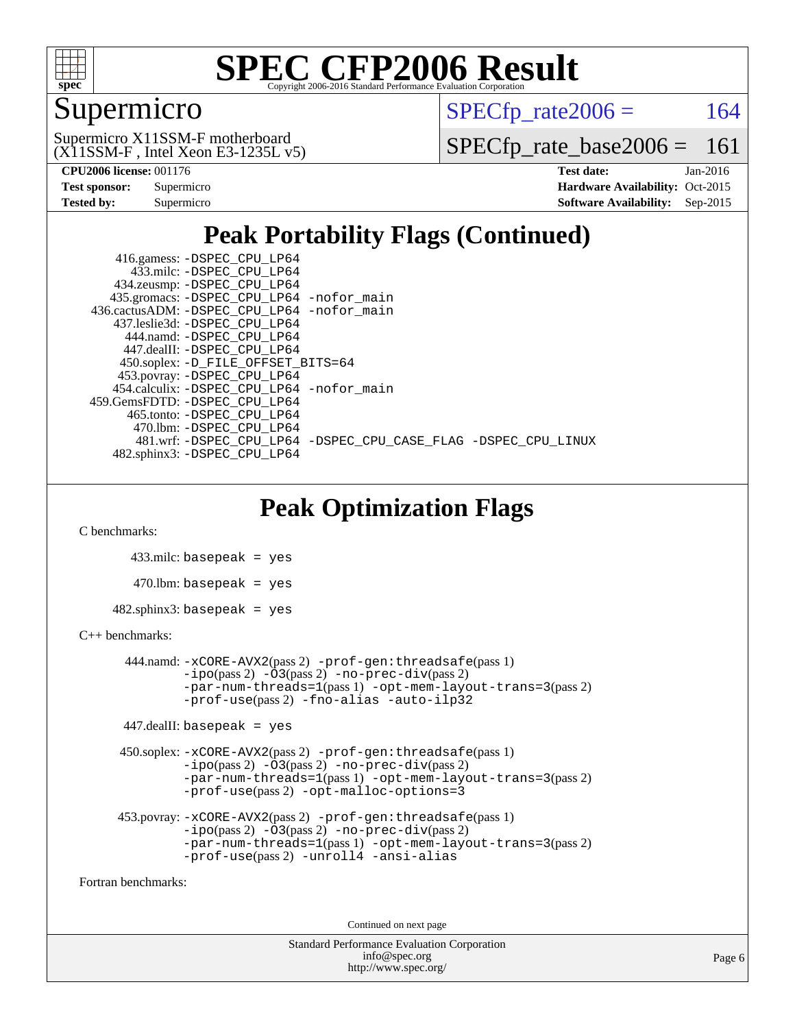

### Supermicro

 $SPECTp\_rate2006 = 164$ 

(X11SSM-F , Intel Xeon E3-1235L v5) Supermicro X11SSM-F motherboard

[SPECfp\\_rate\\_base2006 =](http://www.spec.org/auto/cpu2006/Docs/result-fields.html#SPECfpratebase2006) 161

| <b>Test sponsor:</b> | Supermicro |
|----------------------|------------|
| Tested by:           | Supermicro |

**[CPU2006 license:](http://www.spec.org/auto/cpu2006/Docs/result-fields.html#CPU2006license)** 001176 **[Test date:](http://www.spec.org/auto/cpu2006/Docs/result-fields.html#Testdate)** Jan-2016 **[Hardware Availability:](http://www.spec.org/auto/cpu2006/Docs/result-fields.html#HardwareAvailability)** Oct-2015 **[Software Availability:](http://www.spec.org/auto/cpu2006/Docs/result-fields.html#SoftwareAvailability)** Sep-2015

### **[Peak Portability Flags \(Continued\)](http://www.spec.org/auto/cpu2006/Docs/result-fields.html#PeakPortabilityFlags)**

 416.gamess: [-DSPEC\\_CPU\\_LP64](http://www.spec.org/cpu2006/results/res2016q1/cpu2006-20160106-38557.flags.html#suite_peakPORTABILITY416_gamess_DSPEC_CPU_LP64) 433.milc: [-DSPEC\\_CPU\\_LP64](http://www.spec.org/cpu2006/results/res2016q1/cpu2006-20160106-38557.flags.html#suite_peakPORTABILITY433_milc_DSPEC_CPU_LP64) 434.zeusmp: [-DSPEC\\_CPU\\_LP64](http://www.spec.org/cpu2006/results/res2016q1/cpu2006-20160106-38557.flags.html#suite_peakPORTABILITY434_zeusmp_DSPEC_CPU_LP64) 435.gromacs: [-DSPEC\\_CPU\\_LP64](http://www.spec.org/cpu2006/results/res2016q1/cpu2006-20160106-38557.flags.html#suite_peakPORTABILITY435_gromacs_DSPEC_CPU_LP64) [-nofor\\_main](http://www.spec.org/cpu2006/results/res2016q1/cpu2006-20160106-38557.flags.html#user_peakLDPORTABILITY435_gromacs_f-nofor_main) 436.cactusADM: [-DSPEC\\_CPU\\_LP64](http://www.spec.org/cpu2006/results/res2016q1/cpu2006-20160106-38557.flags.html#suite_peakPORTABILITY436_cactusADM_DSPEC_CPU_LP64) [-nofor\\_main](http://www.spec.org/cpu2006/results/res2016q1/cpu2006-20160106-38557.flags.html#user_peakLDPORTABILITY436_cactusADM_f-nofor_main) 437.leslie3d: [-DSPEC\\_CPU\\_LP64](http://www.spec.org/cpu2006/results/res2016q1/cpu2006-20160106-38557.flags.html#suite_peakPORTABILITY437_leslie3d_DSPEC_CPU_LP64) 444.namd: [-DSPEC\\_CPU\\_LP64](http://www.spec.org/cpu2006/results/res2016q1/cpu2006-20160106-38557.flags.html#suite_peakPORTABILITY444_namd_DSPEC_CPU_LP64) 447.dealII: [-DSPEC\\_CPU\\_LP64](http://www.spec.org/cpu2006/results/res2016q1/cpu2006-20160106-38557.flags.html#suite_peakPORTABILITY447_dealII_DSPEC_CPU_LP64) 450.soplex: [-D\\_FILE\\_OFFSET\\_BITS=64](http://www.spec.org/cpu2006/results/res2016q1/cpu2006-20160106-38557.flags.html#user_peakPORTABILITY450_soplex_file_offset_bits_64_438cf9856305ebd76870a2c6dc2689ab) 453.povray: [-DSPEC\\_CPU\\_LP64](http://www.spec.org/cpu2006/results/res2016q1/cpu2006-20160106-38557.flags.html#suite_peakPORTABILITY453_povray_DSPEC_CPU_LP64) 454.calculix: [-DSPEC\\_CPU\\_LP64](http://www.spec.org/cpu2006/results/res2016q1/cpu2006-20160106-38557.flags.html#suite_peakPORTABILITY454_calculix_DSPEC_CPU_LP64) [-nofor\\_main](http://www.spec.org/cpu2006/results/res2016q1/cpu2006-20160106-38557.flags.html#user_peakLDPORTABILITY454_calculix_f-nofor_main) 459.GemsFDTD: [-DSPEC\\_CPU\\_LP64](http://www.spec.org/cpu2006/results/res2016q1/cpu2006-20160106-38557.flags.html#suite_peakPORTABILITY459_GemsFDTD_DSPEC_CPU_LP64) 465.tonto: [-DSPEC\\_CPU\\_LP64](http://www.spec.org/cpu2006/results/res2016q1/cpu2006-20160106-38557.flags.html#suite_peakPORTABILITY465_tonto_DSPEC_CPU_LP64) 470.lbm: [-DSPEC\\_CPU\\_LP64](http://www.spec.org/cpu2006/results/res2016q1/cpu2006-20160106-38557.flags.html#suite_peakPORTABILITY470_lbm_DSPEC_CPU_LP64) 481.wrf: [-DSPEC\\_CPU\\_LP64](http://www.spec.org/cpu2006/results/res2016q1/cpu2006-20160106-38557.flags.html#suite_peakPORTABILITY481_wrf_DSPEC_CPU_LP64) [-DSPEC\\_CPU\\_CASE\\_FLAG](http://www.spec.org/cpu2006/results/res2016q1/cpu2006-20160106-38557.flags.html#b481.wrf_peakCPORTABILITY_DSPEC_CPU_CASE_FLAG) [-DSPEC\\_CPU\\_LINUX](http://www.spec.org/cpu2006/results/res2016q1/cpu2006-20160106-38557.flags.html#b481.wrf_peakCPORTABILITY_DSPEC_CPU_LINUX) 482.sphinx3: [-DSPEC\\_CPU\\_LP64](http://www.spec.org/cpu2006/results/res2016q1/cpu2006-20160106-38557.flags.html#suite_peakPORTABILITY482_sphinx3_DSPEC_CPU_LP64)

### **[Peak Optimization Flags](http://www.spec.org/auto/cpu2006/Docs/result-fields.html#PeakOptimizationFlags)**

[C benchmarks](http://www.spec.org/auto/cpu2006/Docs/result-fields.html#Cbenchmarks):

 433.milc: basepeak = yes  $470$ .lbm: basepeak = yes  $482$ .sphinx $3$ : basepeak = yes

#### [C++ benchmarks:](http://www.spec.org/auto/cpu2006/Docs/result-fields.html#CXXbenchmarks)

```
 444.namd: -xCORE-AVX2(pass 2) -prof-gen:threadsafe(pass 1)
        -no-prec-div(pass 2)-par-num-threads=1(pass 1) -opt-mem-layout-trans=3(pass 2)
        -prof-use(pass 2) -fno-alias -auto-ilp32
447.dealII: basepeak = yes
```

```
 450.soplex: -xCORE-AVX2(pass 2) -prof-gen:threadsafe(pass 1)
          -i\text{po}(pass 2) -\overline{O}3(pass 2)-no-prec-div(pass 2)
          -par-num-threads=1(pass 1) -opt-mem-layout-trans=3(pass 2)
          -prof-use(pass 2) -opt-malloc-options=3
```

```
 453.povray: -xCORE-AVX2(pass 2) -prof-gen:threadsafe(pass 1)
          -i\text{po}(pass 2) -\tilde{O}3(pass 2)-no-prec-div(pass 2)
          -par-num-threads=1(pass 1) -opt-mem-layout-trans=3(pass 2)
          -prof-use(pass 2) -unroll4 -ansi-alias
```
[Fortran benchmarks](http://www.spec.org/auto/cpu2006/Docs/result-fields.html#Fortranbenchmarks):

Continued on next page

Standard Performance Evaluation Corporation [info@spec.org](mailto:info@spec.org) <http://www.spec.org/>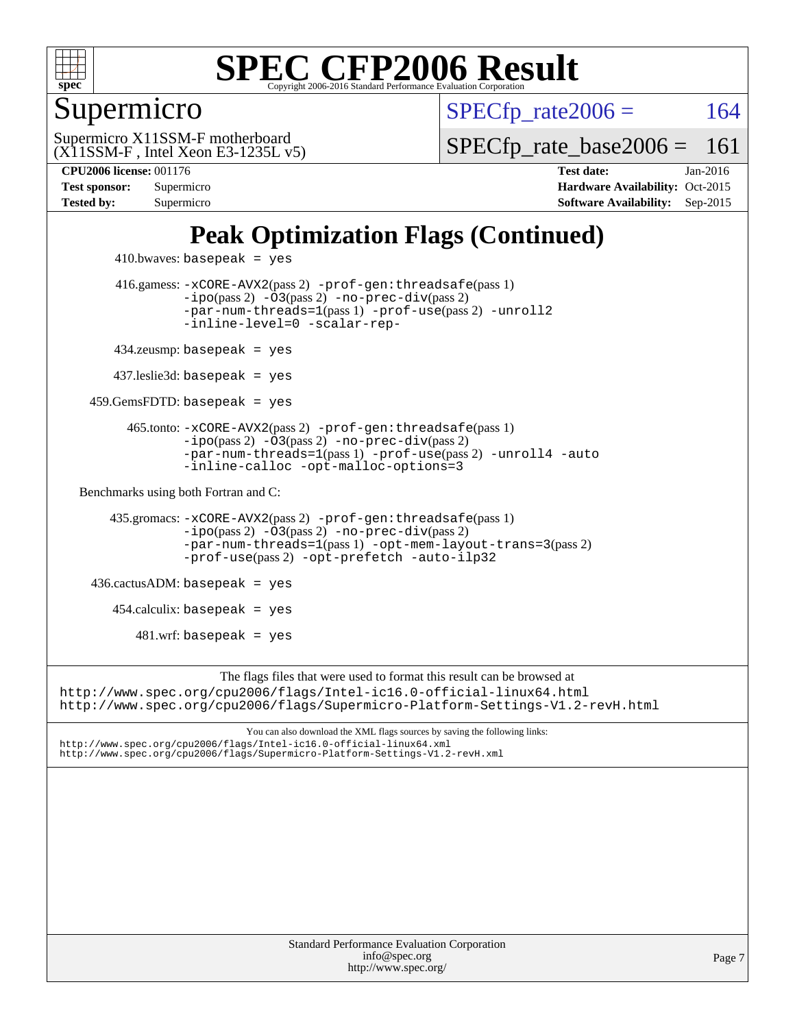

Supermicro

 $SPECTp\_rate2006 = 164$ 

(X11SSM-F , Intel Xeon E3-1235L v5) Supermicro X11SSM-F motherboard

[SPECfp\\_rate\\_base2006 =](http://www.spec.org/auto/cpu2006/Docs/result-fields.html#SPECfpratebase2006) 161

**[CPU2006 license:](http://www.spec.org/auto/cpu2006/Docs/result-fields.html#CPU2006license)** 001176 **[Test date:](http://www.spec.org/auto/cpu2006/Docs/result-fields.html#Testdate)** Jan-2016 **[Test sponsor:](http://www.spec.org/auto/cpu2006/Docs/result-fields.html#Testsponsor)** Supermicro Supermicro **[Hardware Availability:](http://www.spec.org/auto/cpu2006/Docs/result-fields.html#HardwareAvailability)** Oct-2015 **[Tested by:](http://www.spec.org/auto/cpu2006/Docs/result-fields.html#Testedby)** Supermicro **[Software Availability:](http://www.spec.org/auto/cpu2006/Docs/result-fields.html#SoftwareAvailability)** Sep-2015

### **[Peak Optimization Flags \(Continued\)](http://www.spec.org/auto/cpu2006/Docs/result-fields.html#PeakOptimizationFlags)**

```
410.bwaves: basepeak = yes 416.gamess: -xCORE-AVX2(pass 2) -prof-gen:threadsafe(pass 1)
                  -no-prec-div(pass 2)-par-num-threads=1(pass 1) -prof-use(pass 2) -unroll2
                  -inline-level=0 -scalar-rep-
         434.zeusmp: basepeak = yes
        437.leslie3d: basepeak = yes
     459.GemsFDTD: basepeak = yes
          465.tonto: -xCORE-AVX2(pass 2) -prof-gen:threadsafe(pass 1)
                  -no-prec-div(pass 2)-par-num-threads=1(pass 1) -prof-use(pass 2) -unroll4 -auto
                  -inline-calloc -opt-malloc-options=3
  Benchmarks using both Fortran and C: 
        435.gromacs: -xCORE-AVX2(pass 2) -prof-gen:threadsafe(pass 1)
                  -no-prec-div(pass 2)-par-num-threads=1(pass 1) -opt-mem-layout-trans=3(pass 2)
                  -prof-use(pass 2) -opt-prefetch -auto-ilp32
     436.cactusADM: basepeak = yes
       454.calculix: basepeak = yes
           481.wrf: basepeak = yes
                       The flags files that were used to format this result can be browsed at
http://www.spec.org/cpu2006/flags/Intel-ic16.0-official-linux64.html
http://www.spec.org/cpu2006/flags/Supermicro-Platform-Settings-V1.2-revH.html
                           You can also download the XML flags sources by saving the following links:
http://www.spec.org/cpu2006/flags/Intel-ic16.0-official-linux64.xml
http://www.spec.org/cpu2006/flags/Supermicro-Platform-Settings-V1.2-revH.xml
```